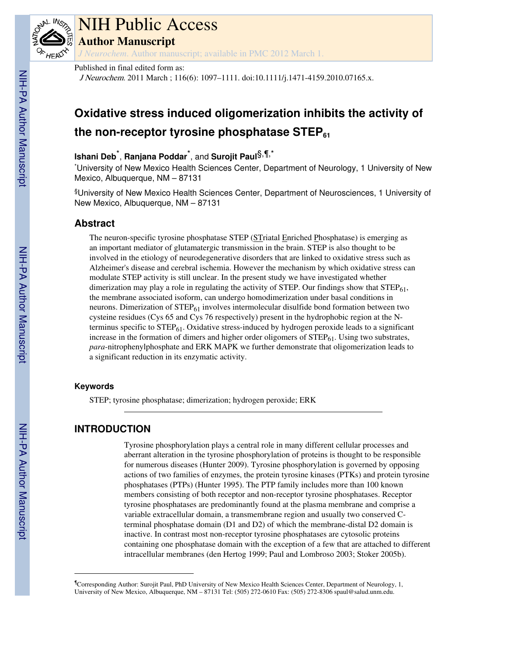

# NIH Public Access

**Author Manuscript**

*J Neurochem*. Author manuscript; available in PMC 2012 March 1.

# Published in final edited form as:

J Neurochem. 2011 March ; 116(6): 1097–1111. doi:10.1111/j.1471-4159.2010.07165.x.

# **Oxidative stress induced oligomerization inhibits the activity of the non-receptor tyrosine phosphatase STEP<sup>61</sup>**

# **Ishani Deb**\* , **Ranjana Poddar**\* , and **Surojit Paul**§,¶,\*

\*University of New Mexico Health Sciences Center, Department of Neurology, 1 University of New Mexico, Albuquerque, NM – 87131

§University of New Mexico Health Sciences Center, Department of Neurosciences, 1 University of New Mexico, Albuquerque, NM – 87131

# **Abstract**

The neuron-specific tyrosine phosphatase STEP (STriatal Enriched Phosphatase) is emerging as an important mediator of glutamatergic transmission in the brain. STEP is also thought to be involved in the etiology of neurodegenerative disorders that are linked to oxidative stress such as Alzheimer's disease and cerebral ischemia. However the mechanism by which oxidative stress can modulate STEP activity is still unclear. In the present study we have investigated whether dimerization may play a role in regulating the activity of STEP. Our findings show that  $\text{STEP}_{61}$ , the membrane associated isoform, can undergo homodimerization under basal conditions in neurons. Dimerization of STEP<sub>61</sub> involves intermolecular disulfide bond formation between two cysteine residues (Cys 65 and Cys 76 respectively) present in the hydrophobic region at the Nterminus specific to STEP<sub>61</sub>. Oxidative stress-induced by hydrogen peroxide leads to a significant increase in the formation of dimers and higher order oligomers of  $STEP_{61}$ . Using two substrates, *para*-nitrophenylphosphate and ERK MAPK we further demonstrate that oligomerization leads to a significant reduction in its enzymatic activity.

# **Keywords**

STEP; tyrosine phosphatase; dimerization; hydrogen peroxide; ERK

# **INTRODUCTION**

Tyrosine phosphorylation plays a central role in many different cellular processes and aberrant alteration in the tyrosine phosphorylation of proteins is thought to be responsible for numerous diseases (Hunter 2009). Tyrosine phosphorylation is governed by opposing actions of two families of enzymes, the protein tyrosine kinases (PTKs) and protein tyrosine phosphatases (PTPs) (Hunter 1995). The PTP family includes more than 100 known members consisting of both receptor and non-receptor tyrosine phosphatases. Receptor tyrosine phosphatases are predominantly found at the plasma membrane and comprise a variable extracellular domain, a transmembrane region and usually two conserved Cterminal phosphatase domain (D1 and D2) of which the membrane-distal D2 domain is inactive. In contrast most non-receptor tyrosine phosphatases are cytosolic proteins containing one phosphatase domain with the exception of a few that are attached to different intracellular membranes (den Hertog 1999; Paul and Lombroso 2003; Stoker 2005b).

<sup>¶</sup>Corresponding Author: Surojit Paul, PhD University of New Mexico Health Sciences Center, Department of Neurology, 1, University of New Mexico, Albuquerque, NM – 87131 Tel: (505) 272-0610 Fax: (505) 272-8306 spaul@salud.unm.edu.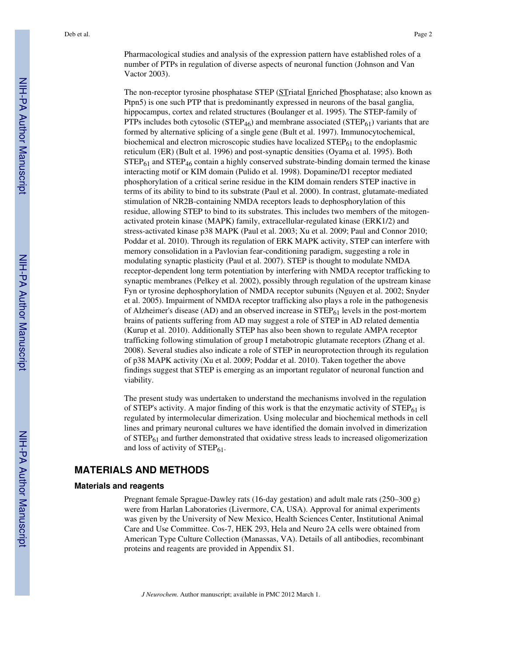Pharmacological studies and analysis of the expression pattern have established roles of a number of PTPs in regulation of diverse aspects of neuronal function (Johnson and Van Vactor 2003).

The non-receptor tyrosine phosphatase STEP (STriatal Enriched Phosphatase; also known as Ptpn5) is one such PTP that is predominantly expressed in neurons of the basal ganglia, hippocampus, cortex and related structures (Boulanger et al. 1995). The STEP-family of PTPs includes both cytosolic ( $\text{STEP}_{46}$ ) and membrane associated ( $\text{STEP}_{61}$ ) variants that are formed by alternative splicing of a single gene (Bult et al. 1997). Immunocytochemical, biochemical and electron microscopic studies have localized  $\text{STEP}_{61}$  to the endoplasmic reticulum (ER) (Bult et al. 1996) and post-synaptic densities (Oyama et al. 1995). Both  $STEP_{61}$  and  $STEP_{46}$  contain a highly conserved substrate-binding domain termed the kinase interacting motif or KIM domain (Pulido et al. 1998). Dopamine/D1 receptor mediated phosphorylation of a critical serine residue in the KIM domain renders STEP inactive in terms of its ability to bind to its substrate (Paul et al. 2000). In contrast, glutamate-mediated stimulation of NR2B-containing NMDA receptors leads to dephosphorylation of this residue, allowing STEP to bind to its substrates. This includes two members of the mitogenactivated protein kinase (MAPK) family, extracellular-regulated kinase (ERK1/2) and stress-activated kinase p38 MAPK (Paul et al. 2003; Xu et al. 2009; Paul and Connor 2010; Poddar et al. 2010). Through its regulation of ERK MAPK activity, STEP can interfere with memory consolidation in a Pavlovian fear-conditioning paradigm, suggesting a role in modulating synaptic plasticity (Paul et al. 2007). STEP is thought to modulate NMDA receptor-dependent long term potentiation by interfering with NMDA receptor trafficking to synaptic membranes (Pelkey et al. 2002), possibly through regulation of the upstream kinase Fyn or tyrosine dephosphorylation of NMDA receptor subunits (Nguyen et al. 2002; Snyder et al. 2005). Impairment of NMDA receptor trafficking also plays a role in the pathogenesis of Alzheimer's disease (AD) and an observed increase in  $\text{STEP}_{61}$  levels in the post-mortem brains of patients suffering from AD may suggest a role of STEP in AD related dementia (Kurup et al. 2010). Additionally STEP has also been shown to regulate AMPA receptor trafficking following stimulation of group I metabotropic glutamate receptors (Zhang et al. 2008). Several studies also indicate a role of STEP in neuroprotection through its regulation of p38 MAPK activity (Xu et al. 2009; Poddar et al. 2010). Taken together the above findings suggest that STEP is emerging as an important regulator of neuronal function and viability.

The present study was undertaken to understand the mechanisms involved in the regulation of STEP's activity. A major finding of this work is that the enzymatic activity of  $\text{STEP}_{61}$  is regulated by intermolecular dimerization. Using molecular and biochemical methods in cell lines and primary neuronal cultures we have identified the domain involved in dimerization of  $STEP_{61}$  and further demonstrated that oxidative stress leads to increased oligomerization and loss of activity of  $STEP_{61}$ .

# **MATERIALS AND METHODS**

## **Materials and reagents**

Pregnant female Sprague-Dawley rats (16-day gestation) and adult male rats (250–300 g) were from Harlan Laboratories (Livermore, CA, USA). Approval for animal experiments was given by the University of New Mexico, Health Sciences Center, Institutional Animal Care and Use Committee. Cos-7, HEK 293, Hela and Neuro 2A cells were obtained from American Type Culture Collection (Manassas, VA). Details of all antibodies, recombinant proteins and reagents are provided in Appendix S1.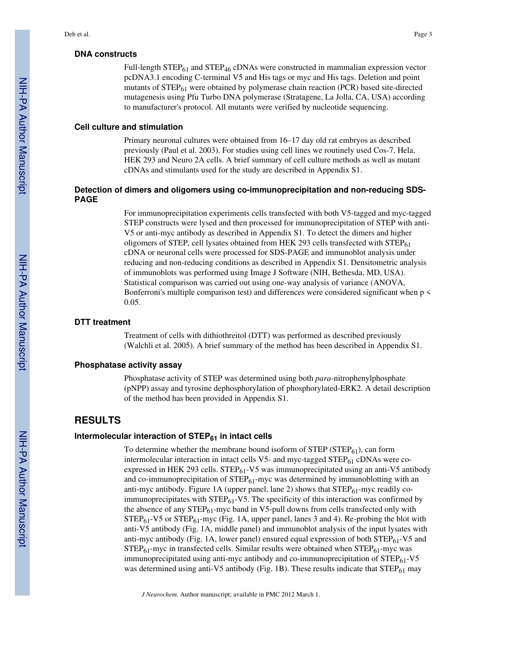#### **DNA constructs**

Full-length  $STEP_{61}$  and  $STEP_{46}$  cDNAs were constructed in mammalian expression vector pcDNA3.1 encoding C-terminal V5 and His tags or myc and His tags. Deletion and point mutants of  $STEP_{61}$  were obtained by polymerase chain reaction (PCR) based site-directed mutagenesis using Pfu Turbo DNA polymerase (Stratagene, La Jolla, CA, USA) according to manufacturer's protocol. All mutants were verified by nucleotide sequencing.

#### **Cell culture and stimulation**

Primary neuronal cultures were obtained from 16–17 day old rat embryos as described previously (Paul et al. 2003). For studies using cell lines we routinely used Cos-7, Hela, HEK 293 and Neuro 2A cells. A brief summary of cell culture methods as well as mutant cDNAs and stimulants used for the study are described in Appendix S1.

## **Detection of dimers and oligomers using co-immunoprecipitation and non-reducing SDS-PAGE**

For immunoprecipitation experiments cells transfected with both V5-tagged and myc-tagged STEP constructs were lysed and then processed for immunoprecipitation of STEP with anti-V5 or anti-myc antibody as described in Appendix S1. To detect the dimers and higher oligomers of STEP, cell lysates obtained from HEK 293 cells transfected with  $STEP_{61}$ cDNA or neuronal cells were processed for SDS-PAGE and immunoblot analysis under reducing and non-reducing conditions as described in Appendix S1. Densitometric analysis of immunoblots was performed using Image J Software (NIH, Bethesda, MD, USA). Statistical comparison was carried out using one-way analysis of variance (ANOVA, Bonferroni's multiple comparison test) and differences were considered significant when p < 0.05.

#### **DTT treatment**

Treatment of cells with dithiothreitol (DTT) was performed as described previously (Walchli et al. 2005). A brief summary of the method has been described in Appendix S1.

#### **Phosphatase activity assay**

Phosphatase activity of STEP was determined using both *para*-nitrophenylphosphate (pNPP) assay and tyrosine dephosphorylation of phosphorylated-ERK2. A detail description of the method has been provided in Appendix S1.

# **RESULTS**

# **Intermolecular interaction of STEP61 in intact cells**

To determine whether the membrane bound isoform of  $STEP(STEP_{61})$ , can form intermolecular interaction in intact cells V5- and myc-tagged  $\text{STEP}_{61}$  cDNAs were coexpressed in HEK 293 cells.  $STEP_{61}$ -V5 was immunoprecipitated using an anti-V5 antibody and co-immunoprecipitation of  $STEP_{61}$ -myc was determined by immunoblotting with an anti-myc antibody. Figure 1A (upper panel, lane 2) shows that  $STEP_{61}$ -myc readily coimmunoprecipitates with  $\text{STEP}_{61}$ -V5. The specificity of this interaction was confirmed by the absence of any  $STEP_{61}$ -myc band in V5-pull downs from cells transfected only with  $STEP_{61}$ -V5 or  $STEP_{61}$ -myc (Fig. 1A, upper panel, lanes 3 and 4). Re-probing the blot with anti-V5 antibody (Fig. 1A, middle panel) and immunoblot analysis of the input lysates with anti-myc antibody (Fig. 1A, lower panel) ensured equal expression of both  $\text{STEP}_{61}$ -V5 and  $STEP_{61}$ -myc in transfected cells. Similar results were obtained when  $STEP_{61}$ -myc was immunoprecipitated using anti-myc antibody and co-immunoprecipitation of  $STEP_{61}$ -V5 was determined using anti-V5 antibody (Fig. 1B). These results indicate that  $STEP_{61}$  may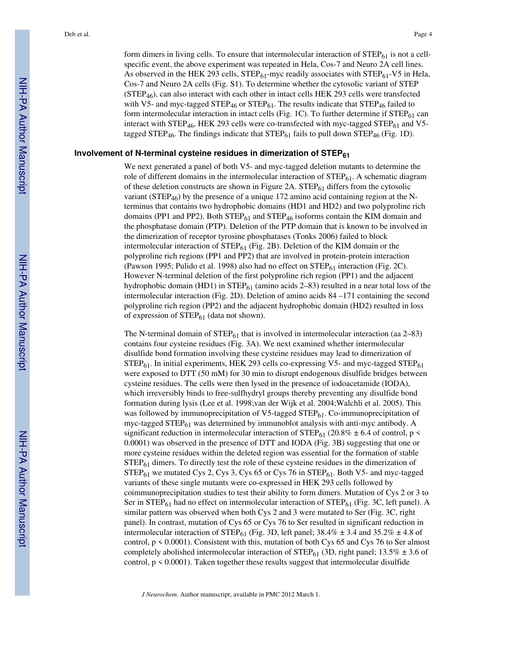form dimers in living cells. To ensure that intermolecular interaction of  $\text{STEP}_{61}$  is not a cellspecific event, the above experiment was repeated in Hela, Cos-7 and Neuro 2A cell lines. As observed in the HEK 293 cells,  $STEP_{61}$ -myc readily associates with  $STEP_{61}$ -V5 in Hela, Cos-7 and Neuro 2A cells (Fig. S1). To determine whether the cytosolic variant of STEP (STEP46), can also interact with each other in intact cells HEK 293 cells were transfected with V5- and myc-tagged STEP<sub>46</sub> or STEP<sub>61</sub>. The results indicate that STEP<sub>46</sub> failed to form intermolecular interaction in intact cells (Fig. 1C). To further determine if  $STEP_{61}$  can interact with STEP<sub>46</sub>, HEK 293 cells were co-transfected with myc-tagged STEP<sub>61</sub> and V5tagged STEP<sub>46</sub>. The findings indicate that  $STEP_{61}$  fails to pull down  $STEP_{46}$  (Fig. 1D).

## **Involvement of N-terminal cysteine residues in dimerization of STEP<sup>61</sup>**

We next generated a panel of both V5- and myc-tagged deletion mutants to determine the role of different domains in the intermolecular interaction of  $\text{STEP}_{61}$ . A schematic diagram of these deletion constructs are shown in Figure 2A.  $\text{STEP}_{61}$  differs from the cytosolic variant ( $\text{STEP}_{46}$ ) by the presence of a unique 172 amino acid containing region at the Nterminus that contains two hydrophobic domains (HD1 and HD2) and two polyproline rich domains (PP1 and PP2). Both  $STEP_{61}$  and  $STEP_{46}$  isoforms contain the KIM domain and the phosphatase domain (PTP). Deletion of the PTP domain that is known to be involved in the dimerization of receptor tyrosine phosphatases (Tonks 2006) failed to block intermolecular interaction of  $\text{STEP}_{61}$  (Fig. 2B). Deletion of the KIM domain or the polyproline rich regions (PP1 and PP2) that are involved in protein-protein interaction (Pawson 1995; Pulido et al. 1998) also had no effect on  $STEP_{61}$  interaction (Fig. 2C). However N-terminal deletion of the first polyproline rich region (PP1) and the adjacent hydrophobic domain (HD1) in  $STEP_{61}$  (amino acids 2–83) resulted in a near total loss of the intermolecular interaction (Fig. 2D). Deletion of amino acids 84 –171 containing the second polyproline rich region (PP2) and the adjacent hydrophobic domain (HD2) resulted in loss of expression of  $STEP_{61}$  (data not shown).

The N-terminal domain of  $STEP_{61}$  that is involved in intermolecular interaction (aa 2–83) contains four cysteine residues (Fig. 3A). We next examined whether intermolecular disulfide bond formation involving these cysteine residues may lead to dimerization of  $STEP_{61}$ . In initial experiments, HEK 293 cells co-expressing V5- and myc-tagged  $STEP_{61}$ were exposed to DTT (50 mM) for 30 min to disrupt endogenous disulfide bridges between cysteine residues. The cells were then lysed in the presence of iodoacetamide (IODA), which irreversibly binds to free-sulfhydryl groups thereby preventing any disulfide bond formation during lysis (Lee et al. 1998;van der Wijk et al. 2004;Walchli et al. 2005). This was followed by immunoprecipitation of V5-tagged  $\text{STEP}_{61}$ . Co-immunoprecipitation of myc-tagged  $\text{STEP}_{61}$  was determined by immunoblot analysis with anti-myc antibody. A significant reduction in intermolecular interaction of  $\text{STEP}_{61}$  (20.8%  $\pm$  6.4 of control, p < 0.0001) was observed in the presence of DTT and IODA (Fig. 3B) suggesting that one or more cysteine residues within the deleted region was essential for the formation of stable STEP61 dimers. To directly test the role of these cysteine residues in the dimerization of  $STEP_{61}$  we mutated Cys 2, Cys 3, Cys 65 or Cys 76 in  $STEP_{61}$ . Both V5- and myc-tagged variants of these single mutants were co-expressed in HEK 293 cells followed by coimmunoprecipitation studies to test their ability to form dimers. Mutation of Cys 2 or 3 to Ser in STEP<sub>61</sub> had no effect on intermolecular interaction of  $STEP_{61}$  (Fig. 3C, left panel). A similar pattern was observed when both Cys 2 and 3 were mutated to Ser (Fig. 3C, right panel). In contrast, mutation of Cys 65 or Cys 76 to Ser resulted in significant reduction in intermolecular interaction of STEP<sub>61</sub> (Fig. 3D, left panel;  $38.4\% \pm 3.4$  and  $35.2\% \pm 4.8$  of control,  $p \le 0.0001$ ). Consistent with this, mutation of both Cys 65 and Cys 76 to Ser almost completely abolished intermolecular interaction of  $\text{STEP}_{61}$  (3D, right panel; 13.5%  $\pm$  3.6 of control,  $p \leq 0.0001$ ). Taken together these results suggest that intermolecular disulfide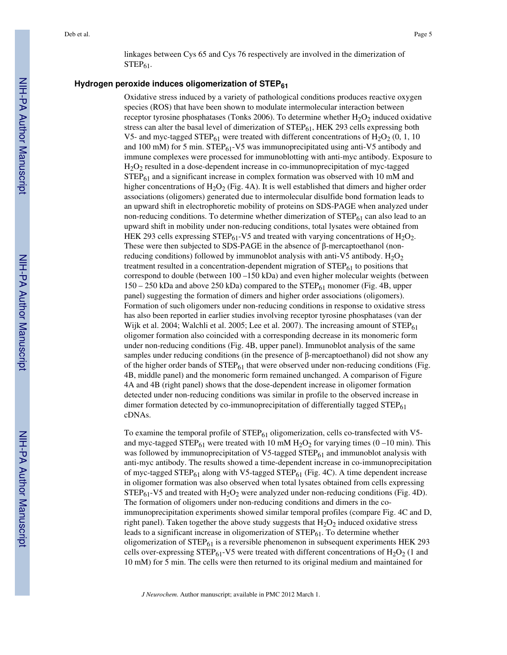linkages between Cys 65 and Cys 76 respectively are involved in the dimerization of  $STEP<sub>61</sub>$ .

# **Hydrogen peroxide induces oligomerization of STEP<sup>61</sup>**

Oxidative stress induced by a variety of pathological conditions produces reactive oxygen species (ROS) that have been shown to modulate intermolecular interaction between receptor tyrosine phosphatases (Tonks 2006). To determine whether  $H_2O_2$  induced oxidative stress can alter the basal level of dimerization of  $STEP_{61}$ , HEK 293 cells expressing both V5- and myc-tagged STEP<sub>61</sub> were treated with different concentrations of  $H_2O_2$  (0, 1, 10) and 100 mM) for 5 min.  $STEP_{61}$ -V5 was immunoprecipitated using anti-V5 antibody and immune complexes were processed for immunoblotting with anti-myc antibody. Exposure to  $H<sub>2</sub>O<sub>2</sub>$  resulted in a dose-dependent increase in co-immunoprecipitation of myc-tagged STEP61 and a significant increase in complex formation was observed with 10 mM and higher concentrations of  $H_2O_2$  (Fig. 4A). It is well established that dimers and higher order associations (oligomers) generated due to intermolecular disulfide bond formation leads to an upward shift in electrophoretic mobility of proteins on SDS-PAGE when analyzed under non-reducing conditions. To determine whether dimerization of  $STEP_{61}$  can also lead to an upward shift in mobility under non-reducing conditions, total lysates were obtained from HEK 293 cells expressing STEP $_{61}$ -V5 and treated with varying concentrations of H<sub>2</sub>O<sub>2</sub>. These were then subjected to SDS-PAGE in the absence of  $\beta$ -mercaptoethanol (nonreducing conditions) followed by immunoblot analysis with anti-V5 antibody.  $H_2O_2$ treatment resulted in a concentration-dependent migration of  $\text{STEP}_{61}$  to positions that correspond to double (between 100 –150 kDa) and even higher molecular weights (between  $150 - 250$  kDa and above 250 kDa) compared to the STEP $_{61}$  monomer (Fig. 4B, upper panel) suggesting the formation of dimers and higher order associations (oligomers). Formation of such oligomers under non-reducing conditions in response to oxidative stress has also been reported in earlier studies involving receptor tyrosine phosphatases (van der Wijk et al. 2004; Walchli et al. 2005; Lee et al. 2007). The increasing amount of  $STEP_{61}$ oligomer formation also coincided with a corresponding decrease in its monomeric form under non-reducing conditions (Fig. 4B, upper panel). Immunoblot analysis of the same samples under reducing conditions (in the presence of  $\beta$ -mercaptoethanol) did not show any of the higher order bands of  $\text{STEP}_{61}$  that were observed under non-reducing conditions (Fig. 4B, middle panel) and the monomeric form remained unchanged. A comparison of Figure 4A and 4B (right panel) shows that the dose-dependent increase in oligomer formation detected under non-reducing conditions was similar in profile to the observed increase in dimer formation detected by co-immunoprecipitation of differentially tagged  $STEP_{61}$ cDNAs.

To examine the temporal profile of  $STEP_{61}$  oligomerization, cells co-transfected with V5and myc-tagged STEP<sub>61</sub> were treated with 10 mM H<sub>2</sub>O<sub>2</sub> for varying times (0 –10 min). This was followed by immunoprecipitation of  $V5$ -tagged  $STEP_{61}$  and immunoblot analysis with anti-myc antibody. The results showed a time-dependent increase in co-immunoprecipitation of myc-tagged  $STEP_{61}$  along with V5-tagged  $STEP_{61}$  (Fig. 4C). A time dependent increase in oligomer formation was also observed when total lysates obtained from cells expressing  $STEP_{61}$ -V5 and treated with  $H_2O_2$  were analyzed under non-reducing conditions (Fig. 4D). The formation of oligomers under non-reducing conditions and dimers in the coimmunoprecipitation experiments showed similar temporal profiles (compare Fig. 4C and D, right panel). Taken together the above study suggests that  $H_2O_2$  induced oxidative stress leads to a significant increase in oligomerization of  $\text{STEP}_{61}$ . To determine whether oligomerization of  $STEP_{61}$  is a reversible phenomenon in subsequent experiments HEK 293 cells over-expressing STEP $_{61}$ -V5 were treated with different concentrations of H<sub>2</sub>O<sub>2</sub> (1 and 10 mM) for 5 min. The cells were then returned to its original medium and maintained for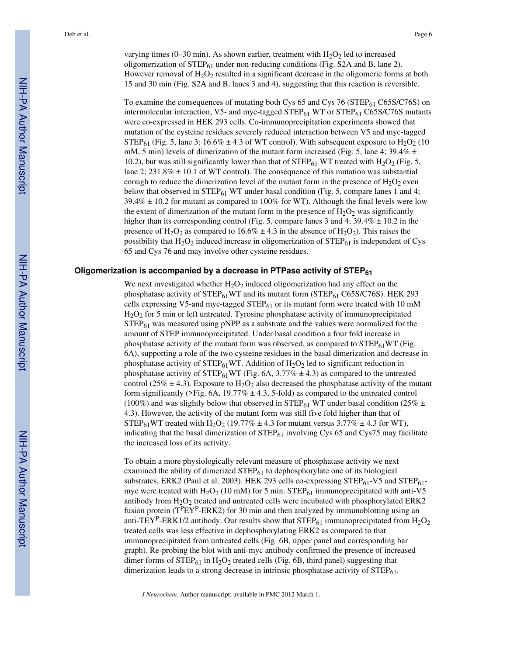varying times (0–30 min). As shown earlier, treatment with  $H_2O_2$  led to increased oligomerization of  $STEP_{61}$  under non-reducing conditions (Fig. S2A and B, lane 2). However removal of  $H_2O_2$  resulted in a significant decrease in the oligomeric forms at both 15 and 30 min (Fig. S2A and B, lanes 3 and 4), suggesting that this reaction is reversible.

To examine the consequences of mutating both Cys  $65$  and Cys  $76$  (STEP $_{61}$  C65S/C76S) on intermolecular interaction, V5- and myc-tagged  $STEP_{61}$  WT or  $STEP_{61}$  C65S/C76S mutants were co-expressed in HEK 293 cells. Co-immunoprecipitation experiments showed that mutation of the cysteine residues severely reduced interaction between V5 and myc-tagged STEP<sub>61</sub> (Fig. 5, lane 3; 16.6%  $\pm$  4.3 of WT control). With subsequent exposure to H<sub>2</sub>O<sub>2</sub> (10 mM, 5 min) levels of dimerization of the mutant form increased (Fig. 5, lane 4;  $39.4\% \pm$ 10.2), but was still significantly lower than that of  $\text{STEP}_{61}$  WT treated with H<sub>2</sub>O<sub>2</sub> (Fig. 5, lane 2;  $231.8\% \pm 10.1$  of WT control). The consequence of this mutation was substantial enough to reduce the dimerization level of the mutant form in the presence of  $H_2O_2$  even below that observed in  $STEP_{61}$  WT under basal condition (Fig. 5, compare lanes 1 and 4;  $39.4\% \pm 10.2$  for mutant as compared to 100% for WT). Although the final levels were low the extent of dimerization of the mutant form in the presence of  $H_2O_2$  was significantly higher than its corresponding control (Fig. 5, compare lanes 3 and 4;  $39.4\% \pm 10.2$  in the presence of H<sub>2</sub>O<sub>2</sub> as compared to  $16.6\% \pm 4.3$  in the absence of H<sub>2</sub>O<sub>2</sub>). This raises the possibility that  $H_2O_2$  induced increase in oligomerization of  $STEP_{61}$  is independent of Cys 65 and Cys 76 and may involve other cysteine residues.

#### **Oligomerization is accompanied by a decrease in PTPase activity of STEP<sup>61</sup>**

We next investigated whether  $H_2O_2$  induced oligomerization had any effect on the phosphatase activity of  $STEP_{61}WT$  and its mutant form ( $STEP_{61} CG5S/C76S$ ). HEK 293 cells expressing V5-and myc-tagged  $STEP_{61}$  or its mutant form were treated with 10 mM H2O2 for 5 min or left untreated. Tyrosine phosphatase activity of immunoprecipitated  $STEP<sub>61</sub>$  was measured using pNPP as a substrate and the values were normalized for the amount of STEP immunoprecipitated. Under basal condition a four fold increase in phosphatase activity of the mutant form was observed, as compared to  $STEP_{61}WT$  (Fig. 6A), supporting a role of the two cysteine residues in the basal dimerization and decrease in phosphatase activity of STEP $_{61}$ WT. Addition of H<sub>2</sub>O<sub>2</sub> led to significant reduction in phosphatase activity of STEP<sub>61</sub>WT (Fig. 6A, 3.77%  $\pm$  4.3) as compared to the untreated control (25%  $\pm$  4.3). Exposure to H<sub>2</sub>O<sub>2</sub> also decreased the phosphatase activity of the mutant form significantly ( $>$ Fig. 6A, 19.77%  $\pm$  4.3, 5-fold) as compared to the untreated control (100%) and was slightly below that observed in STEP<sub>61</sub> WT under basal condition (25%  $\pm$ 4.3). However, the activity of the mutant form was still five fold higher than that of STEP<sub>61</sub>WT treated with H<sub>2</sub>O<sub>2</sub> (19.77%  $\pm$  4.3 for mutant versus 3.77%  $\pm$  4.3 for WT), indicating that the basal dimerization of  $STEP_{61}$  involving Cys 65 and Cys75 may facilitate the increased loss of its activity.

To obtain a more physiologically relevant measure of phosphatase activity we next examined the ability of dimerized  $\text{STEP}_{61}$  to dephosphorylate one of its biological substrates, ERK2 (Paul et al. 2003). HEK 293 cells co-expressing  $STEP_{61}$ -V5 and  $STEP_{61}$ myc were treated with  $H_2O_2$  (10 mM) for 5 min. STEP<sub>61</sub> immunoprecipitated with anti-V5 antibody from  $H_2O_2$  treated and untreated cells were incubated with phosphorylated ERK2 fusion protein  $(T^{P}EY^{P}-ERK2)$  for 30 min and then analyzed by immunoblotting using an anti-TEY<sup>P</sup>-ERK1/2 antibody. Our results show that  $\text{STEP}_{61}$  immunoprecipitated from H<sub>2</sub>O<sub>2</sub> treated cells was less effective in dephosphorylating ERK2 as compared to that immunoprecipitated from untreated cells (Fig. 6B, upper panel and corresponding bar graph). Re-probing the blot with anti-myc antibody confirmed the presence of increased dimer forms of  $STEP_{61}$  in  $H_2O_2$  treated cells (Fig. 6B, third panel) suggesting that dimerization leads to a strong decrease in intrinsic phosphatase activity of  $STEP_{61}$ .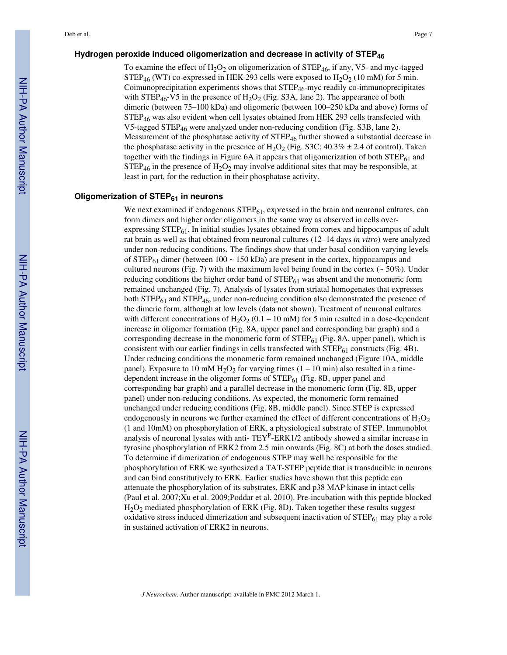## **Hydrogen peroxide induced oligomerization and decrease in activity of STEP<sup>46</sup>**

To examine the effect of  $H_2O_2$  on oligomerization of STEP<sub>46</sub>, if any, V5- and myc-tagged STEP<sub>46</sub> (WT) co-expressed in HEK 293 cells were exposed to  $H_2O_2$  (10 mM) for 5 min. Coimunoprecipitation experiments shows that STEP46-myc readily co-immunoprecipitates with  $STEP_{46}$ -V5 in the presence of  $H_2O_2$  (Fig. S3A, lane 2). The appearance of both dimeric (between 75–100 kDa) and oligomeric (between 100–250 kDa and above) forms of  $STEP<sub>46</sub>$  was also evident when cell lysates obtained from HEK 293 cells transfected with V5-tagged STEP<sub>46</sub> were analyzed under non-reducing condition (Fig. S3B, lane 2). Measurement of the phosphatase activity of  $\text{STEP}_{46}$  further showed a substantial decrease in the phosphatase activity in the presence of H<sub>2</sub>O<sub>2</sub> (Fig. S3C; 40.3%  $\pm$  2.4 of control). Taken together with the findings in Figure 6A it appears that oligomerization of both  $STEP_{61}$  and  $STEP_{46}$  in the presence of  $H_2O_2$  may involve additional sites that may be responsible, at least in part, for the reduction in their phosphatase activity.

#### **Oligomerization of STEP61 in neurons**

We next examined if endogenous  $\text{STEP}_{61}$ , expressed in the brain and neuronal cultures, can form dimers and higher order oligomers in the same way as observed in cells overexpressing  $STEP_{61}$ . In initial studies lysates obtained from cortex and hippocampus of adult rat brain as well as that obtained from neuronal cultures (12–14 days *in vitro*) were analyzed under non-reducing conditions. The findings show that under basal condition varying levels of STEP<sub>61</sub> dimer (between  $100 \sim 150$  kDa) are present in the cortex, hippocampus and cultured neurons (Fig. 7) with the maximum level being found in the cortex ( $\sim$  50%). Under reducing conditions the higher order band of  $\text{STEP}_{61}$  was absent and the monomeric form remained unchanged (Fig. 7). Analysis of lysates from striatal homogenates that expresses both  $\text{STEP}_{61}$  and  $\text{STEP}_{46}$ , under non-reducing condition also demonstrated the presence of the dimeric form, although at low levels (data not shown). Treatment of neuronal cultures with different concentrations of H<sub>2</sub>O<sub>2</sub> (0.1 – 10 mM) for 5 min resulted in a dose-dependent increase in oligomer formation (Fig. 8A, upper panel and corresponding bar graph) and a corresponding decrease in the monomeric form of  $\text{STEP}_{61}$  (Fig. 8A, upper panel), which is consistent with our earlier findings in cells transfected with  $\text{STEP}_{61}$  constructs (Fig. 4B). Under reducing conditions the monomeric form remained unchanged (Figure 10A, middle panel). Exposure to 10 mM H<sub>2</sub>O<sub>2</sub> for varying times (1 – 10 min) also resulted in a timedependent increase in the oligomer forms of  $\text{STEP}_{61}$  (Fig. 8B, upper panel and corresponding bar graph) and a parallel decrease in the monomeric form (Fig. 8B, upper panel) under non-reducing conditions. As expected, the monomeric form remained unchanged under reducing conditions (Fig. 8B, middle panel). Since STEP is expressed endogenously in neurons we further examined the effect of different concentrations of  $H_2O_2$ (1 and 10mM) on phosphorylation of ERK, a physiological substrate of STEP. Immunoblot analysis of neuronal lysates with anti- $TEY^P$ -ERK1/2 antibody showed a similar increase in tyrosine phosphorylation of ERK2 from 2.5 min onwards (Fig. 8C) at both the doses studied. To determine if dimerization of endogenous STEP may well be responsible for the phosphorylation of ERK we synthesized a TAT-STEP peptide that is transducible in neurons and can bind constitutively to ERK. Earlier studies have shown that this peptide can attenuate the phosphorylation of its substrates, ERK and p38 MAP kinase in intact cells (Paul et al. 2007;Xu et al. 2009;Poddar et al. 2010). Pre-incubation with this peptide blocked H2O2 mediated phosphorylation of ERK (Fig. 8D). Taken together these results suggest oxidative stress induced dimerization and subsequent inactivation of  $\text{STEP}_{61}$  may play a role in sustained activation of ERK2 in neurons.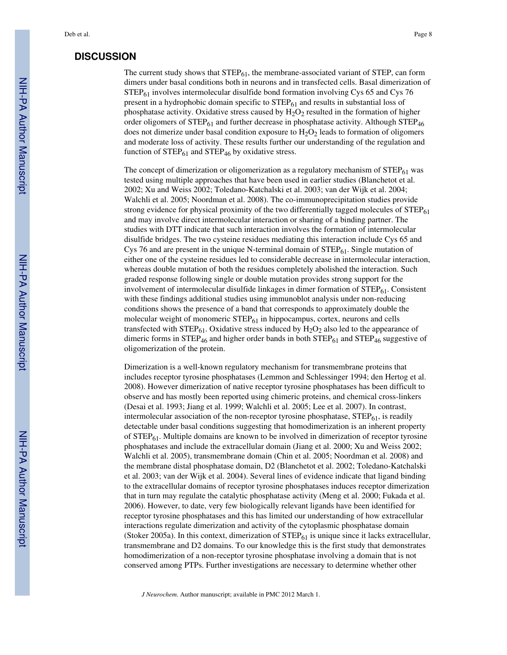# **DISCUSSION**

The current study shows that  $STEP_{61}$ , the membrane-associated variant of STEP, can form dimers under basal conditions both in neurons and in transfected cells. Basal dimerization of STEP<sub>61</sub> involves intermolecular disulfide bond formation involving Cys 65 and Cys 76 present in a hydrophobic domain specific to  $STEP_{61}$  and results in substantial loss of phosphatase activity. Oxidative stress caused by  $H_2O_2$  resulted in the formation of higher order oligomers of  $STEP_{61}$  and further decrease in phosphatase activity. Although  $STEP_{46}$ does not dimerize under basal condition exposure to  $H_2O_2$  leads to formation of oligomers and moderate loss of activity. These results further our understanding of the regulation and function of  $STEP_{61}$  and  $STEP_{46}$  by oxidative stress.

The concept of dimerization or oligomerization as a regulatory mechanism of  $STEP_{61}$  was tested using multiple approaches that have been used in earlier studies (Blanchetot et al. 2002; Xu and Weiss 2002; Toledano-Katchalski et al. 2003; van der Wijk et al. 2004; Walchli et al. 2005; Noordman et al. 2008). The co-immunoprecipitation studies provide strong evidence for physical proximity of the two differentially tagged molecules of STEP<sub>61</sub> and may involve direct intermolecular interaction or sharing of a binding partner. The studies with DTT indicate that such interaction involves the formation of intermolecular disulfide bridges. The two cysteine residues mediating this interaction include Cys 65 and Cys 76 and are present in the unique N-terminal domain of  $STEP_{61}$ . Single mutation of either one of the cysteine residues led to considerable decrease in intermolecular interaction, whereas double mutation of both the residues completely abolished the interaction. Such graded response following single or double mutation provides strong support for the involvement of intermolecular disulfide linkages in dimer formation of STEP<sub>61</sub>. Consistent with these findings additional studies using immunoblot analysis under non-reducing conditions shows the presence of a band that corresponds to approximately double the molecular weight of monomeric  $STEP_{61}$  in hippocampus, cortex, neurons and cells transfected with  $\text{STEP}_{61}$ . Oxidative stress induced by  $H_2O_2$  also led to the appearance of dimeric forms in  $STEP_{46}$  and higher order bands in both  $STEP_{61}$  and  $STEP_{46}$  suggestive of oligomerization of the protein.

Dimerization is a well-known regulatory mechanism for transmembrane proteins that includes receptor tyrosine phosphatases (Lemmon and Schlessinger 1994; den Hertog et al. 2008). However dimerization of native receptor tyrosine phosphatases has been difficult to observe and has mostly been reported using chimeric proteins, and chemical cross-linkers (Desai et al. 1993; Jiang et al. 1999; Walchli et al. 2005; Lee et al. 2007). In contrast, intermolecular association of the non-receptor tyrosine phosphatase,  $STEP_{61}$ , is readily detectable under basal conditions suggesting that homodimerization is an inherent property of STEP<sub>61</sub>. Multiple domains are known to be involved in dimerization of receptor tyrosine phosphatases and include the extracellular domain (Jiang et al. 2000; Xu and Weiss 2002; Walchli et al. 2005), transmembrane domain (Chin et al. 2005; Noordman et al. 2008) and the membrane distal phosphatase domain, D2 (Blanchetot et al. 2002; Toledano-Katchalski et al. 2003; van der Wijk et al. 2004). Several lines of evidence indicate that ligand binding to the extracellular domains of receptor tyrosine phosphatases induces receptor dimerization that in turn may regulate the catalytic phosphatase activity (Meng et al. 2000; Fukada et al. 2006). However, to date, very few biologically relevant ligands have been identified for receptor tyrosine phosphatases and this has limited our understanding of how extracellular interactions regulate dimerization and activity of the cytoplasmic phosphatase domain (Stoker 2005a). In this context, dimerization of  $\text{STEP}_{61}$  is unique since it lacks extracellular, transmembrane and D2 domains. To our knowledge this is the first study that demonstrates homodimerization of a non-receptor tyrosine phosphatase involving a domain that is not conserved among PTPs. Further investigations are necessary to determine whether other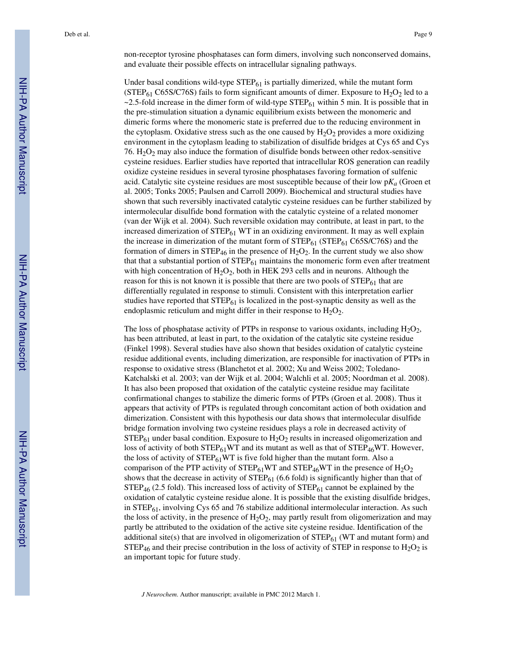non-receptor tyrosine phosphatases can form dimers, involving such nonconserved domains, and evaluate their possible effects on intracellular signaling pathways.

Under basal conditions wild-type  $\text{STEP}_{61}$  is partially dimerized, while the mutant form (STEP<sub>61</sub> C65S/C76S) fails to form significant amounts of dimer. Exposure to  $H_2O_2$  led to a  $\sim$  2.5-fold increase in the dimer form of wild-type STEP<sub>61</sub> within 5 min. It is possible that in the pre-stimulation situation a dynamic equilibrium exists between the monomeric and dimeric forms where the monomeric state is preferred due to the reducing environment in the cytoplasm. Oxidative stress such as the one caused by  $H_2O_2$  provides a more oxidizing environment in the cytoplasm leading to stabilization of disulfide bridges at Cys 65 and Cys 76.  $H_2O_2$  may also induce the formation of disulfide bonds between other redox-sensitive cysteine residues. Earlier studies have reported that intracellular ROS generation can readily oxidize cysteine residues in several tyrosine phosphatases favoring formation of sulfenic acid. Catalytic site cysteine residues are most susceptible because of their low p*Ka* (Groen et al. 2005; Tonks 2005; Paulsen and Carroll 2009). Biochemical and structural studies have shown that such reversibly inactivated catalytic cysteine residues can be further stabilized by intermolecular disulfide bond formation with the catalytic cysteine of a related monomer (van der Wijk et al. 2004). Such reversible oxidation may contribute, at least in part, to the increased dimerization of  $STEP_{61}$  WT in an oxidizing environment. It may as well explain the increase in dimerization of the mutant form of  $STEP_{61}$  (STEP<sub>61</sub> C65S/C76S) and the formation of dimers in  $\text{STEP}_{46}$  in the presence of  $\text{H}_2\text{O}_2$ . In the current study we also show that that a substantial portion of  $STEP_{61}$  maintains the monomeric form even after treatment with high concentration of  $H_2O_2$ , both in HEK 293 cells and in neurons. Although the reason for this is not known it is possible that there are two pools of  $STEP_{61}$  that are differentially regulated in response to stimuli. Consistent with this interpretation earlier studies have reported that  $STEP_{61}$  is localized in the post-synaptic density as well as the endoplasmic reticulum and might differ in their response to  $H_2O_2$ .

The loss of phosphatase activity of PTPs in response to various oxidants, including  $H_2O_2$ , has been attributed, at least in part, to the oxidation of the catalytic site cysteine residue (Finkel 1998). Several studies have also shown that besides oxidation of catalytic cysteine residue additional events, including dimerization, are responsible for inactivation of PTPs in response to oxidative stress (Blanchetot et al. 2002; Xu and Weiss 2002; Toledano-Katchalski et al. 2003; van der Wijk et al. 2004; Walchli et al. 2005; Noordman et al. 2008). It has also been proposed that oxidation of the catalytic cysteine residue may facilitate confirmational changes to stabilize the dimeric forms of PTPs (Groen et al. 2008). Thus it appears that activity of PTPs is regulated through concomitant action of both oxidation and dimerization. Consistent with this hypothesis our data shows that intermolecular disulfide bridge formation involving two cysteine residues plays a role in decreased activity of  $STEP_{61}$  under basal condition. Exposure to  $H_2O_2$  results in increased oligomerization and loss of activity of both  $STEP_{61}WT$  and its mutant as well as that of  $STEP_{46}WT$ . However, the loss of activity of  $STEP_{61}WT$  is five fold higher than the mutant form. Also a comparison of the PTP activity of  $STEP_{61}WT$  and  $STEP_{46}WT$  in the presence of  $H_2O_2$ shows that the decrease in activity of  $STEP_{61}$  (6.6 fold) is significantly higher than that of  $STEP_{46}$  (2.5 fold). This increased loss of activity of  $STEP_{61}$  cannot be explained by the oxidation of catalytic cysteine residue alone. It is possible that the existing disulfide bridges, in  $STEP<sub>61</sub>$ , involving Cys 65 and 76 stabilize additional intermolecular interaction. As such the loss of activity, in the presence of  $H_2O_2$ , may partly result from oligomerization and may partly be attributed to the oxidation of the active site cysteine residue. Identification of the additional site(s) that are involved in oligomerization of  $STEP_{61}$  (WT and mutant form) and  $STEP_{46}$  and their precise contribution in the loss of activity of STEP in response to H<sub>2</sub>O<sub>2</sub> is an important topic for future study.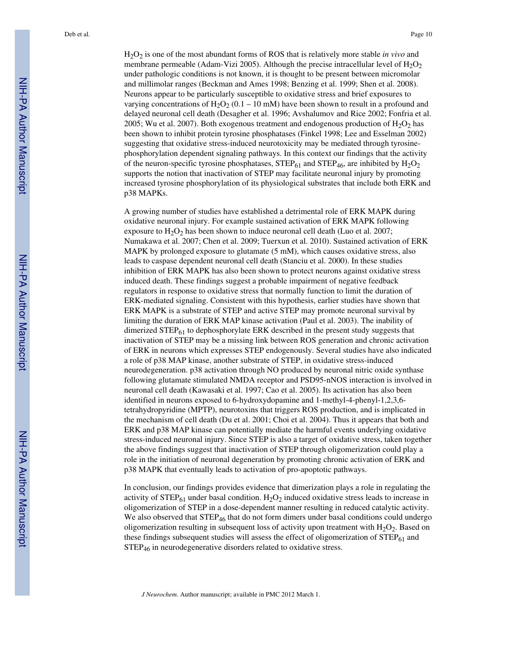H2O2 is one of the most abundant forms of ROS that is relatively more stable *in vivo* and membrane permeable (Adam-Vizi 2005). Although the precise intracellular level of  $H_2O_2$ under pathologic conditions is not known, it is thought to be present between micromolar and millimolar ranges (Beckman and Ames 1998; Benzing et al. 1999; Shen et al. 2008). Neurons appear to be particularly susceptible to oxidative stress and brief exposures to varying concentrations of  $H_2O_2$  (0.1 – 10 mM) have been shown to result in a profound and delayed neuronal cell death (Desagher et al. 1996; Avshalumov and Rice 2002; Fonfria et al. 2005; Wu et al. 2007). Both exogenous treatment and endogenous production of  $H_2O_2$  has been shown to inhibit protein tyrosine phosphatases (Finkel 1998; Lee and Esselman 2002) suggesting that oxidative stress-induced neurotoxicity may be mediated through tyrosinephosphorylation dependent signaling pathways. In this context our findings that the activity of the neuron-specific tyrosine phosphatases,  $STEP_{61}$  and  $STEP_{46}$ , are inhibited by  $H_2O_2$ supports the notion that inactivation of STEP may facilitate neuronal injury by promoting increased tyrosine phosphorylation of its physiological substrates that include both ERK and p38 MAPKs.

A growing number of studies have established a detrimental role of ERK MAPK during oxidative neuronal injury. For example sustained activation of ERK MAPK following exposure to  $H_2O_2$  has been shown to induce neuronal cell death (Luo et al. 2007; Numakawa et al. 2007; Chen et al. 2009; Tuerxun et al. 2010). Sustained activation of ERK MAPK by prolonged exposure to glutamate (5 mM), which causes oxidative stress, also leads to caspase dependent neuronal cell death (Stanciu et al. 2000). In these studies inhibition of ERK MAPK has also been shown to protect neurons against oxidative stress induced death. These findings suggest a probable impairment of negative feedback regulators in response to oxidative stress that normally function to limit the duration of ERK-mediated signaling. Consistent with this hypothesis, earlier studies have shown that ERK MAPK is a substrate of STEP and active STEP may promote neuronal survival by limiting the duration of ERK MAP kinase activation (Paul et al. 2003). The inability of dimerized STEP<sub>61</sub> to dephosphorylate ERK described in the present study suggests that inactivation of STEP may be a missing link between ROS generation and chronic activation of ERK in neurons which expresses STEP endogenously. Several studies have also indicated a role of p38 MAP kinase, another substrate of STEP, in oxidative stress-induced neurodegeneration. p38 activation through NO produced by neuronal nitric oxide synthase following glutamate stimulated NMDA receptor and PSD95-nNOS interaction is involved in neuronal cell death (Kawasaki et al. 1997; Cao et al. 2005). Its activation has also been identified in neurons exposed to 6-hydroxydopamine and 1-methyl-4-phenyl-1,2,3,6 tetrahydropyridine (MPTP), neurotoxins that triggers ROS production, and is implicated in the mechanism of cell death (Du et al. 2001; Choi et al. 2004). Thus it appears that both and ERK and p38 MAP kinase can potentially mediate the harmful events underlying oxidative stress-induced neuronal injury. Since STEP is also a target of oxidative stress, taken together the above findings suggest that inactivation of STEP through oligomerization could play a role in the initiation of neuronal degeneration by promoting chronic activation of ERK and p38 MAPK that eventually leads to activation of pro-apoptotic pathways.

In conclusion, our findings provides evidence that dimerization plays a role in regulating the activity of  $STEP_{61}$  under basal condition.  $H_2O_2$  induced oxidative stress leads to increase in oligomerization of STEP in a dose-dependent manner resulting in reduced catalytic activity. We also observed that  $\text{STEP}_{46}$  that do not form dimers under basal conditions could undergo oligomerization resulting in subsequent loss of activity upon treatment with  $H_2O_2$ . Based on these findings subsequent studies will assess the effect of oligomerization of  $STEP_{61}$  and STEP<sub>46</sub> in neurodegenerative disorders related to oxidative stress.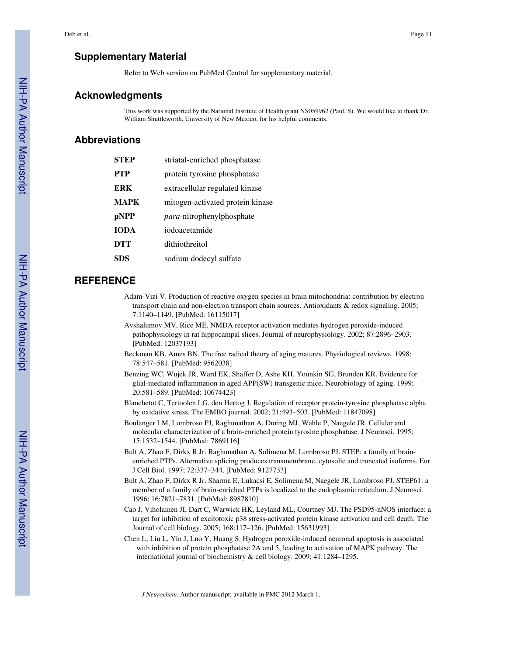# **Supplementary Material**

Refer to Web version on PubMed Central for supplementary material.

# **Acknowledgments**

This work was supported by the National Institute of Health grant NS059962 (Paul, S). We would like to thank Dr. William Shuttleworth, University of New Mexico, for his helpful comments.

# **Abbreviations**

| STEP        | striatal-enriched phosphatase     |
|-------------|-----------------------------------|
| <b>PTP</b>  | protein tyrosine phosphatase      |
| <b>ERK</b>  | extracellular regulated kinase    |
| <b>MAPK</b> | mitogen-activated protein kinase  |
| pNPP        | <i>para</i> -nitrophenylphosphate |
| <b>IODA</b> | iodoacetamide                     |
| DTT         | dithiothreitol                    |
| SDS         | sodium dodecyl sulfate            |
|             |                                   |

# **REFERENCE**

- Adam-Vizi V. Production of reactive oxygen species in brain mitochondria: contribution by electron transport chain and non-electron transport chain sources. Antioxidants & redox signaling. 2005; 7:1140–1149. [PubMed: 16115017]
- Avshalumov MV, Rice ME. NMDA receptor activation mediates hydrogen peroxide-induced pathophysiology in rat hippocampal slices. Journal of neurophysiology. 2002; 87:2896–2903. [PubMed: 12037193]
- Beckman KB, Ames BN. The free radical theory of aging matures. Physiological reviews. 1998; 78:547–581. [PubMed: 9562038]
- Benzing WC, Wujek JR, Ward EK, Shaffer D, Ashe KH, Younkin SG, Brunden KR. Evidence for glial-mediated inflammation in aged APP(SW) transgenic mice. Neurobiology of aging. 1999; 20:581–589. [PubMed: 10674423]
- Blanchetot C, Tertoolen LG, den Hertog J. Regulation of receptor protein-tyrosine phosphatase alpha by oxidative stress. The EMBO journal. 2002; 21:493–503. [PubMed: 11847098]
- Boulanger LM, Lombroso PJ, Raghunathan A, During MJ, Wahle P, Naegele JR. Cellular and molecular characterization of a brain-enriched protein tyrosine phosphatase. J Neurosci. 1995; 15:1532–1544. [PubMed: 7869116]
- Bult A, Zhao F, Dirkx R Jr. Raghunathan A, Solimena M, Lombroso PJ. STEP: a family of brainenriched PTPs. Alternative splicing produces transmembrane, cytosolic and truncated isoforms. Eur J Cell Biol. 1997; 72:337–344. [PubMed: 9127733]
- Bult A, Zhao F, Dirkx R Jr. Sharma E, Lukacsi E, Solimena M, Naegele JR, Lombroso PJ. STEP61: a member of a family of brain-enriched PTPs is localized to the endoplasmic reticulum. J Neurosci. 1996; 16:7821–7831. [PubMed: 8987810]
- Cao J, Viholainen JI, Dart C, Warwick HK, Leyland ML, Courtney MJ. The PSD95-nNOS interface: a target for inhibition of excitotoxic p38 stress-activated protein kinase activation and cell death. The Journal of cell biology. 2005; 168:117–126. [PubMed: 15631993]
- Chen L, Liu L, Yin J, Luo Y, Huang S. Hydrogen peroxide-induced neuronal apoptosis is associated with inhibition of protein phosphatase 2A and 5, leading to activation of MAPK pathway. The international journal of biochemistry & cell biology. 2009; 41:1284–1295.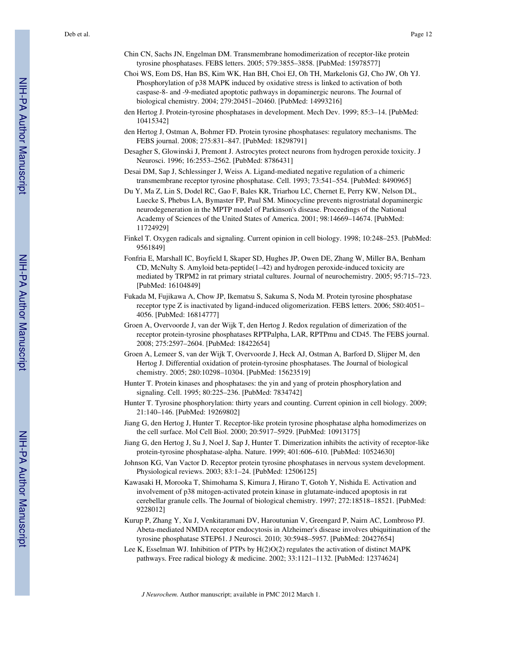- Chin CN, Sachs JN, Engelman DM. Transmembrane homodimerization of receptor-like protein tyrosine phosphatases. FEBS letters. 2005; 579:3855–3858. [PubMed: 15978577]
- Choi WS, Eom DS, Han BS, Kim WK, Han BH, Choi EJ, Oh TH, Markelonis GJ, Cho JW, Oh YJ. Phosphorylation of p38 MAPK induced by oxidative stress is linked to activation of both caspase-8- and -9-mediated apoptotic pathways in dopaminergic neurons. The Journal of biological chemistry. 2004; 279:20451–20460. [PubMed: 14993216]
- den Hertog J. Protein-tyrosine phosphatases in development. Mech Dev. 1999; 85:3–14. [PubMed: 10415342]
- den Hertog J, Ostman A, Bohmer FD. Protein tyrosine phosphatases: regulatory mechanisms. The FEBS journal. 2008; 275:831–847. [PubMed: 18298791]
- Desagher S, Glowinski J, Premont J. Astrocytes protect neurons from hydrogen peroxide toxicity. J Neurosci. 1996; 16:2553–2562. [PubMed: 8786431]
- Desai DM, Sap J, Schlessinger J, Weiss A. Ligand-mediated negative regulation of a chimeric transmembrane receptor tyrosine phosphatase. Cell. 1993; 73:541–554. [PubMed: 8490965]
- Du Y, Ma Z, Lin S, Dodel RC, Gao F, Bales KR, Triarhou LC, Chernet E, Perry KW, Nelson DL, Luecke S, Phebus LA, Bymaster FP, Paul SM. Minocycline prevents nigrostriatal dopaminergic neurodegeneration in the MPTP model of Parkinson's disease. Proceedings of the National Academy of Sciences of the United States of America. 2001; 98:14669–14674. [PubMed: 11724929]
- Finkel T. Oxygen radicals and signaling. Current opinion in cell biology. 1998; 10:248–253. [PubMed: 9561849]
- Fonfria E, Marshall IC, Boyfield I, Skaper SD, Hughes JP, Owen DE, Zhang W, Miller BA, Benham CD, McNulty S. Amyloid beta-peptide(1–42) and hydrogen peroxide-induced toxicity are mediated by TRPM2 in rat primary striatal cultures. Journal of neurochemistry. 2005; 95:715–723. [PubMed: 16104849]
- Fukada M, Fujikawa A, Chow JP, Ikematsu S, Sakuma S, Noda M. Protein tyrosine phosphatase receptor type Z is inactivated by ligand-induced oligomerization. FEBS letters. 2006; 580:4051– 4056. [PubMed: 16814777]
- Groen A, Overvoorde J, van der Wijk T, den Hertog J. Redox regulation of dimerization of the receptor protein-tyrosine phosphatases RPTPalpha, LAR, RPTPmu and CD45. The FEBS journal. 2008; 275:2597–2604. [PubMed: 18422654]
- Groen A, Lemeer S, van der Wijk T, Overvoorde J, Heck AJ, Ostman A, Barford D, Slijper M, den Hertog J. Differential oxidation of protein-tyrosine phosphatases. The Journal of biological chemistry. 2005; 280:10298–10304. [PubMed: 15623519]
- Hunter T. Protein kinases and phosphatases: the yin and yang of protein phosphorylation and signaling. Cell. 1995; 80:225–236. [PubMed: 7834742]
- Hunter T. Tyrosine phosphorylation: thirty years and counting. Current opinion in cell biology. 2009; 21:140–146. [PubMed: 19269802]
- Jiang G, den Hertog J, Hunter T. Receptor-like protein tyrosine phosphatase alpha homodimerizes on the cell surface. Mol Cell Biol. 2000; 20:5917–5929. [PubMed: 10913175]
- Jiang G, den Hertog J, Su J, Noel J, Sap J, Hunter T. Dimerization inhibits the activity of receptor-like protein-tyrosine phosphatase-alpha. Nature. 1999; 401:606–610. [PubMed: 10524630]
- Johnson KG, Van Vactor D. Receptor protein tyrosine phosphatases in nervous system development. Physiological reviews. 2003; 83:1–24. [PubMed: 12506125]
- Kawasaki H, Morooka T, Shimohama S, Kimura J, Hirano T, Gotoh Y, Nishida E. Activation and involvement of p38 mitogen-activated protein kinase in glutamate-induced apoptosis in rat cerebellar granule cells. The Journal of biological chemistry. 1997; 272:18518–18521. [PubMed: 9228012]
- Kurup P, Zhang Y, Xu J, Venkitaramani DV, Haroutunian V, Greengard P, Nairn AC, Lombroso PJ. Abeta-mediated NMDA receptor endocytosis in Alzheimer's disease involves ubiquitination of the tyrosine phosphatase STEP61. J Neurosci. 2010; 30:5948–5957. [PubMed: 20427654]
- Lee K, Esselman WJ. Inhibition of PTPs by H(2)O(2) regulates the activation of distinct MAPK pathways. Free radical biology & medicine. 2002; 33:1121–1132. [PubMed: 12374624]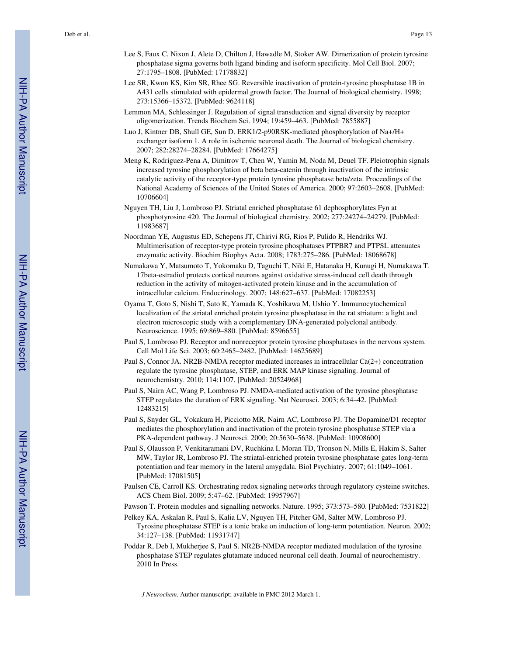- Lee S, Faux C, Nixon J, Alete D, Chilton J, Hawadle M, Stoker AW. Dimerization of protein tyrosine phosphatase sigma governs both ligand binding and isoform specificity. Mol Cell Biol. 2007; 27:1795–1808. [PubMed: 17178832]
- Lee SR, Kwon KS, Kim SR, Rhee SG. Reversible inactivation of protein-tyrosine phosphatase 1B in A431 cells stimulated with epidermal growth factor. The Journal of biological chemistry. 1998; 273:15366–15372. [PubMed: 9624118]
- Lemmon MA, Schlessinger J. Regulation of signal transduction and signal diversity by receptor oligomerization. Trends Biochem Sci. 1994; 19:459–463. [PubMed: 7855887]
- Luo J, Kintner DB, Shull GE, Sun D. ERK1/2-p90RSK-mediated phosphorylation of Na+/H+ exchanger isoform 1. A role in ischemic neuronal death. The Journal of biological chemistry. 2007; 282:28274–28284. [PubMed: 17664275]
- Meng K, Rodriguez-Pena A, Dimitrov T, Chen W, Yamin M, Noda M, Deuel TF. Pleiotrophin signals increased tyrosine phosphorylation of beta beta-catenin through inactivation of the intrinsic catalytic activity of the receptor-type protein tyrosine phosphatase beta/zeta. Proceedings of the National Academy of Sciences of the United States of America. 2000; 97:2603–2608. [PubMed: 10706604]
- Nguyen TH, Liu J, Lombroso PJ. Striatal enriched phosphatase 61 dephosphorylates Fyn at phosphotyrosine 420. The Journal of biological chemistry. 2002; 277:24274–24279. [PubMed: 11983687]
- Noordman YE, Augustus ED, Schepens JT, Chirivi RG, Rios P, Pulido R, Hendriks WJ. Multimerisation of receptor-type protein tyrosine phosphatases PTPBR7 and PTPSL attenuates enzymatic activity. Biochim Biophys Acta. 2008; 1783:275–286. [PubMed: 18068678]
- Numakawa Y, Matsumoto T, Yokomaku D, Taguchi T, Niki E, Hatanaka H, Kunugi H, Numakawa T. 17beta-estradiol protects cortical neurons against oxidative stress-induced cell death through reduction in the activity of mitogen-activated protein kinase and in the accumulation of intracellular calcium. Endocrinology. 2007; 148:627–637. [PubMed: 17082253]
- Oyama T, Goto S, Nishi T, Sato K, Yamada K, Yoshikawa M, Ushio Y. Immunocytochemical localization of the striatal enriched protein tyrosine phosphatase in the rat striatum: a light and electron microscopic study with a complementary DNA-generated polyclonal antibody. Neuroscience. 1995; 69:869–880. [PubMed: 8596655]
- Paul S, Lombroso PJ. Receptor and nonreceptor protein tyrosine phosphatases in the nervous system. Cell Mol Life Sci. 2003; 60:2465–2482. [PubMed: 14625689]
- Paul S, Connor JA. NR2B-NMDA receptor mediated increases in intracellular Ca(2+) concentration regulate the tyrosine phosphatase, STEP, and ERK MAP kinase signaling. Journal of neurochemistry. 2010; 114:1107. [PubMed: 20524968]
- Paul S, Nairn AC, Wang P, Lombroso PJ. NMDA-mediated activation of the tyrosine phosphatase STEP regulates the duration of ERK signaling. Nat Neurosci. 2003; 6:34–42. [PubMed: 12483215]
- Paul S, Snyder GL, Yokakura H, Picciotto MR, Nairn AC, Lombroso PJ. The Dopamine/D1 receptor mediates the phosphorylation and inactivation of the protein tyrosine phosphatase STEP via a PKA-dependent pathway. J Neurosci. 2000; 20:5630–5638. [PubMed: 10908600]
- Paul S, Olausson P, Venkitaramani DV, Ruchkina I, Moran TD, Tronson N, Mills E, Hakim S, Salter MW, Taylor JR, Lombroso PJ. The striatal-enriched protein tyrosine phosphatase gates long-term potentiation and fear memory in the lateral amygdala. Biol Psychiatry. 2007; 61:1049–1061. [PubMed: 17081505]
- Paulsen CE, Carroll KS. Orchestrating redox signaling networks through regulatory cysteine switches. ACS Chem Biol. 2009; 5:47–62. [PubMed: 19957967]
- Pawson T. Protein modules and signalling networks. Nature. 1995; 373:573–580. [PubMed: 7531822]
- Pelkey KA, Askalan R, Paul S, Kalia LV, Nguyen TH, Pitcher GM, Salter MW, Lombroso PJ. Tyrosine phosphatase STEP is a tonic brake on induction of long-term potentiation. Neuron. 2002; 34:127–138. [PubMed: 11931747]
- Poddar R, Deb I, Mukherjee S, Paul S. NR2B-NMDA receptor mediated modulation of the tyrosine phosphatase STEP regulates glutamate induced neuronal cell death. Journal of neurochemistry. 2010 In Press.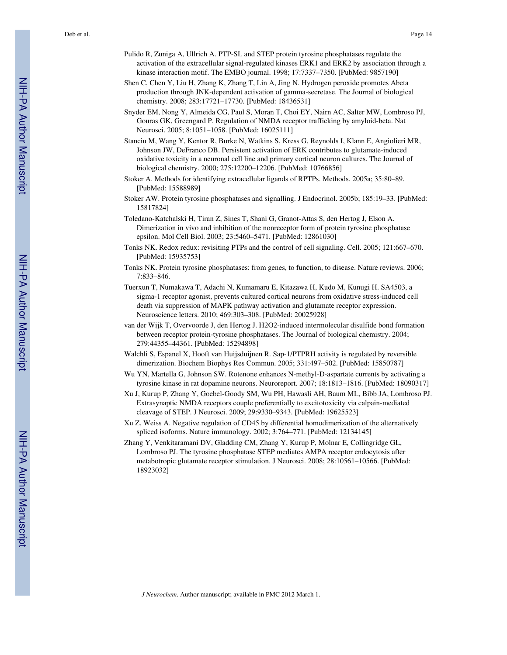- Pulido R, Zuniga A, Ullrich A. PTP-SL and STEP protein tyrosine phosphatases regulate the activation of the extracellular signal-regulated kinases ERK1 and ERK2 by association through a kinase interaction motif. The EMBO journal. 1998; 17:7337–7350. [PubMed: 9857190]
- Shen C, Chen Y, Liu H, Zhang K, Zhang T, Lin A, Jing N. Hydrogen peroxide promotes Abeta production through JNK-dependent activation of gamma-secretase. The Journal of biological chemistry. 2008; 283:17721–17730. [PubMed: 18436531]
- Snyder EM, Nong Y, Almeida CG, Paul S, Moran T, Choi EY, Nairn AC, Salter MW, Lombroso PJ, Gouras GK, Greengard P. Regulation of NMDA receptor trafficking by amyloid-beta. Nat Neurosci. 2005; 8:1051–1058. [PubMed: 16025111]
- Stanciu M, Wang Y, Kentor R, Burke N, Watkins S, Kress G, Reynolds I, Klann E, Angiolieri MR, Johnson JW, DeFranco DB. Persistent activation of ERK contributes to glutamate-induced oxidative toxicity in a neuronal cell line and primary cortical neuron cultures. The Journal of biological chemistry. 2000; 275:12200–12206. [PubMed: 10766856]
- Stoker A. Methods for identifying extracellular ligands of RPTPs. Methods. 2005a; 35:80–89. [PubMed: 15588989]
- Stoker AW. Protein tyrosine phosphatases and signalling. J Endocrinol. 2005b; 185:19–33. [PubMed: 15817824]
- Toledano-Katchalski H, Tiran Z, Sines T, Shani G, Granot-Attas S, den Hertog J, Elson A. Dimerization in vivo and inhibition of the nonreceptor form of protein tyrosine phosphatase epsilon. Mol Cell Biol. 2003; 23:5460–5471. [PubMed: 12861030]
- Tonks NK. Redox redux: revisiting PTPs and the control of cell signaling. Cell. 2005; 121:667–670. [PubMed: 15935753]
- Tonks NK. Protein tyrosine phosphatases: from genes, to function, to disease. Nature reviews. 2006; 7:833–846.
- Tuerxun T, Numakawa T, Adachi N, Kumamaru E, Kitazawa H, Kudo M, Kunugi H. SA4503, a sigma-1 receptor agonist, prevents cultured cortical neurons from oxidative stress-induced cell death via suppression of MAPK pathway activation and glutamate receptor expression. Neuroscience letters. 2010; 469:303–308. [PubMed: 20025928]
- van der Wijk T, Overvoorde J, den Hertog J. H2O2-induced intermolecular disulfide bond formation between receptor protein-tyrosine phosphatases. The Journal of biological chemistry. 2004; 279:44355–44361. [PubMed: 15294898]
- Walchli S, Espanel X, Hooft van Huijsduijnen R. Sap-1/PTPRH activity is regulated by reversible dimerization. Biochem Biophys Res Commun. 2005; 331:497–502. [PubMed: 15850787]
- Wu YN, Martella G, Johnson SW. Rotenone enhances N-methyl-D-aspartate currents by activating a tyrosine kinase in rat dopamine neurons. Neuroreport. 2007; 18:1813–1816. [PubMed: 18090317]
- Xu J, Kurup P, Zhang Y, Goebel-Goody SM, Wu PH, Hawasli AH, Baum ML, Bibb JA, Lombroso PJ. Extrasynaptic NMDA receptors couple preferentially to excitotoxicity via calpain-mediated cleavage of STEP. J Neurosci. 2009; 29:9330–9343. [PubMed: 19625523]
- Xu Z, Weiss A. Negative regulation of CD45 by differential homodimerization of the alternatively spliced isoforms. Nature immunology. 2002; 3:764–771. [PubMed: 12134145]
- Zhang Y, Venkitaramani DV, Gladding CM, Zhang Y, Kurup P, Molnar E, Collingridge GL, Lombroso PJ. The tyrosine phosphatase STEP mediates AMPA receptor endocytosis after metabotropic glutamate receptor stimulation. J Neurosci. 2008; 28:10561–10566. [PubMed: 18923032]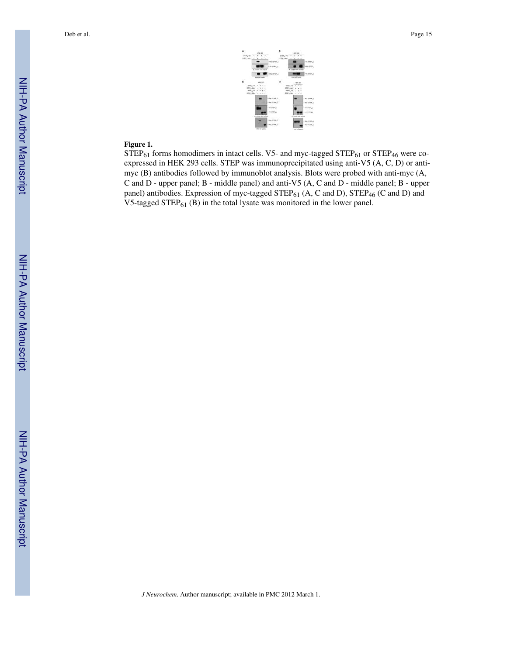

#### **Figure 1.**

 $STEP_{61}$  forms homodimers in intact cells. V5- and myc-tagged  $STEP_{61}$  or  $STEP_{46}$  were coexpressed in HEK 293 cells. STEP was immunoprecipitated using anti-V5 (A, C, D) or antimyc (B) antibodies followed by immunoblot analysis. Blots were probed with anti-myc (A, C and D - upper panel; B - middle panel) and anti-V5 (A, C and D - middle panel; B - upper panel) antibodies. Expression of myc-tagged  $\text{STEP}_{61}$  (A, C and D),  $\text{STEP}_{46}$  (C and D) and V5-tagged STEP $_{61}$  (B) in the total lysate was monitored in the lower panel.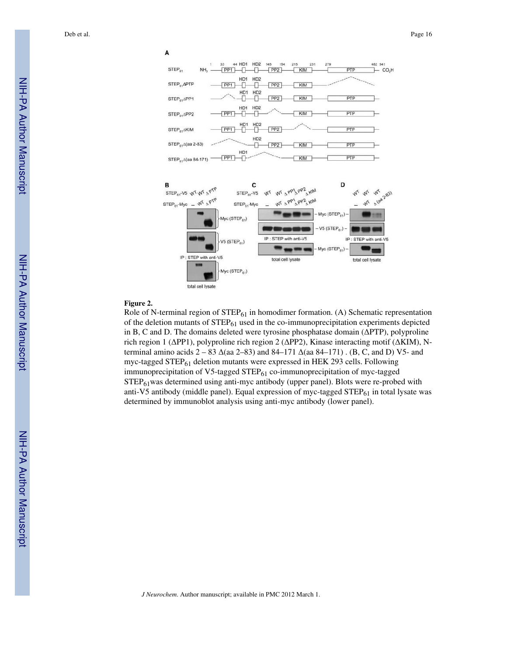

#### **Figure 2.**

Role of N-terminal region of  $STEP_{61}$  in homodimer formation. (A) Schematic representation of the deletion mutants of  $STEP_{61}$  used in the co-immunoprecipitation experiments depicted in B, C and D. The domains deleted were tyrosine phosphatase domain (ΔPTP), polyproline rich region 1 (ΔPP1), polyproline rich region 2 (ΔPP2), Kinase interacting motif (ΔKIM), Nterminal amino acids 2 – 83 Δ(aa 2–83) and 84–171 Δ(aa 84–171) . (B, C, and D) V5- and myc-tagged STEP $_{61}$  deletion mutants were expressed in HEK 293 cells. Following immunoprecipitation of V5-tagged STEP<sub>61</sub> co-immunoprecipitation of myc-tagged STEP61was determined using anti-myc antibody (upper panel). Blots were re-probed with anti-V5 antibody (middle panel). Equal expression of myc-tagged  $STEP_{61}$  in total lysate was determined by immunoblot analysis using anti-myc antibody (lower panel).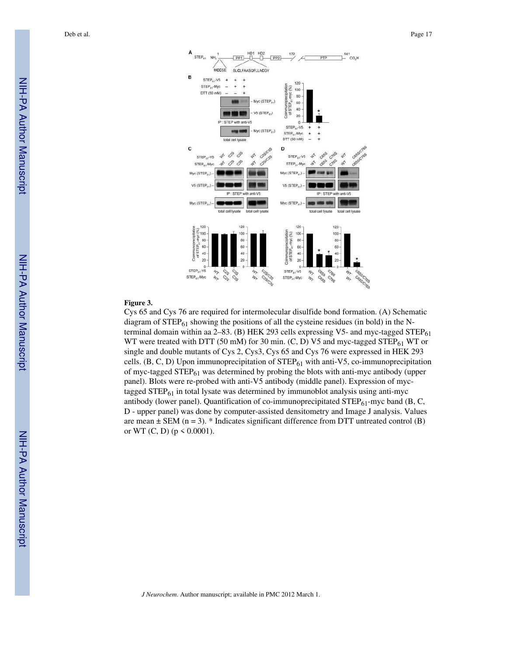

#### **Figure 3.**

Cys 65 and Cys 76 are required for intermolecular disulfide bond formation. (A) Schematic diagram of  $STEP_{61}$  showing the positions of all the cysteine residues (in bold) in the Nterminal domain within aa  $2-83$ . (B) HEK 293 cells expressing V5- and myc-tagged STEP $_{61}$ WT were treated with DTT (50 mM) for 30 min. (C, D) V5 and myc-tagged STEP $_{61}$  WT or single and double mutants of Cys 2, Cys3, Cys 65 and Cys 76 were expressed in HEK 293 cells. (B, C, D) Upon immunoprecipitation of  $STEP_{61}$  with anti-V5, co-immunoprecipitation of myc-tagged  $STEP_{61}$  was determined by probing the blots with anti-myc antibody (upper panel). Blots were re-probed with anti-V5 antibody (middle panel). Expression of myctagged  $STEP_{61}$  in total lysate was determined by immunoblot analysis using anti-myc antibody (lower panel). Quantification of co-immunoprecipitated  $\text{STEP}_{61}$ -myc band (B, C, D - upper panel) was done by computer-assisted densitometry and Image J analysis. Values are mean  $\pm$  SEM (n = 3). \* Indicates significant difference from DTT untreated control (B) or WT (C, D) ( $p \le 0.0001$ ).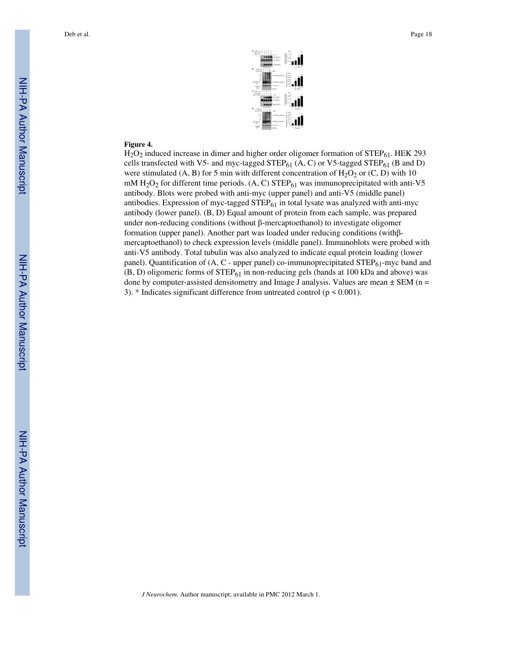

#### **Figure 4.**

 $H<sub>2</sub>O<sub>2</sub>$  induced increase in dimer and higher order oligomer formation of STEP $_{61}$ . HEK 293 cells transfected with V5- and myc-tagged  $STEP_{61}$  (A, C) or V5-tagged  $STEP_{61}$  (B and D) were stimulated (A, B) for 5 min with different concentration of  $H_2O_2$  or (C, D) with 10 mM  $H_2O_2$  for different time periods. (A, C) STEP<sub>61</sub> was immunoprecipitated with anti-V5 antibody. Blots were probed with anti-myc (upper panel) and anti-V5 (middle panel) antibodies. Expression of myc-tagged  $STEP_{61}$  in total lysate was analyzed with anti-myc antibody (lower panel). (B, D) Equal amount of protein from each sample, was prepared under non-reducing conditions (without β-mercaptoethanol) to investigate oligomer formation (upper panel). Another part was loaded under reducing conditions (withβmercaptoethanol) to check expression levels (middle panel). Immunoblots were probed with anti-V5 antibody. Total tubulin was also analyzed to indicate equal protein loading (lower panel). Quantification of  $(A, C -$  upper panel) co-immunoprecipitated STEP $_{61}$ -myc band and  $(B, D)$  oligomeric forms of STEP $_{61}$  in non-reducing gels (bands at 100 kDa and above) was done by computer-assisted densitometry and Image J analysis. Values are mean  $\pm$  SEM (n = 3).  $*$  Indicates significant difference from untreated control ( $p \le 0.001$ ).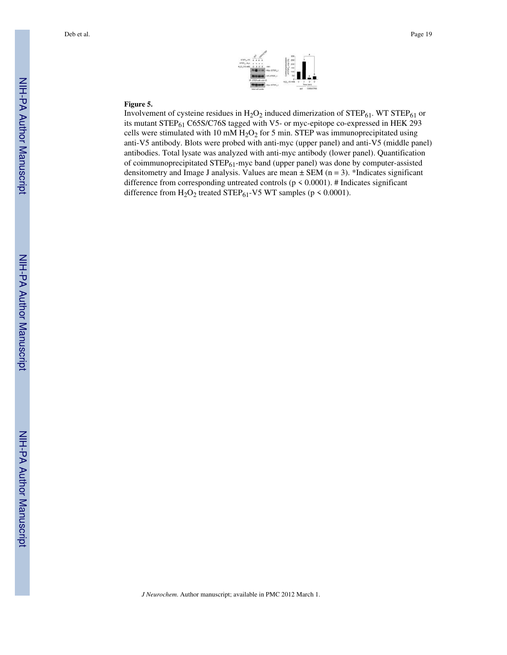

#### **Figure 5.**

Involvement of cysteine residues in  $H_2O_2$  induced dimerization of  $STEP_{61}$ . WT  $STEP_{61}$  or its mutant STEP<sub>61</sub> C65S/C76S tagged with V5- or myc-epitope co-expressed in HEK 293 cells were stimulated with 10 mM  $H<sub>2</sub>O<sub>2</sub>$  for 5 min. STEP was immunoprecipitated using anti-V5 antibody. Blots were probed with anti-myc (upper panel) and anti-V5 (middle panel) antibodies. Total lysate was analyzed with anti-myc antibody (lower panel). Quantification of coimmunoprecipitated  $STEP_{61}$ -myc band (upper panel) was done by computer-assisted densitometry and Image J analysis. Values are mean  $\pm$  SEM (n = 3). \*Indicates significant difference from corresponding untreated controls ( $p \le 0.0001$ ). # Indicates significant difference from  $H_2O_2$  treated STEP<sub>61</sub>-V5 WT samples (p < 0.0001).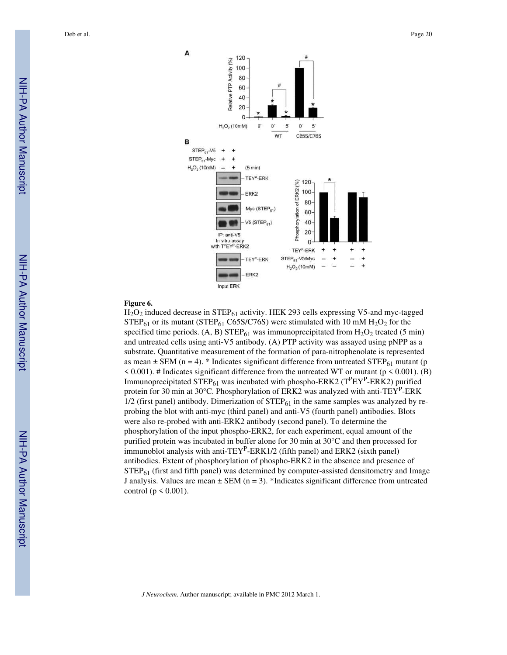

#### **Figure 6.**

 $H_2O_2$  induced decrease in STEP $_{61}$  activity. HEK 293 cells expressing V5-and myc-tagged  $STEP_{61}$  or its mutant (STEP<sub>61</sub> C65S/C76S) were stimulated with 10 mM  $H_2O_2$  for the specified time periods. (A, B) STEP $_{61}$  was immunoprecipitated from H<sub>2</sub>O<sub>2</sub> treated (5 min) and untreated cells using anti-V5 antibody. (A) PTP activity was assayed using pNPP as a substrate. Quantitative measurement of the formation of para-nitrophenolate is represented as mean  $\pm$  SEM (n = 4). \* Indicates significant difference from untreated STEP<sub>61</sub> mutant (p  $\leq$  0.001). # Indicates significant difference from the untreated WT or mutant ( $p \leq 0.001$ ). (B) Immunoprecipitated STEP<sub>61</sub> was incubated with phospho-ERK2 ( $T^P EY^P$ -ERK2) purified protein for 30 min at 30°C. Phosphorylation of ERK2 was analyzed with anti-TEY<sup>P</sup>-ERK  $1/2$  (first panel) antibody. Dimerization of  $STEP_{61}$  in the same samples was analyzed by reprobing the blot with anti-myc (third panel) and anti-V5 (fourth panel) antibodies. Blots were also re-probed with anti-ERK2 antibody (second panel). To determine the phosphorylation of the input phospho-ERK2, for each experiment, equal amount of the purified protein was incubated in buffer alone for 30 min at 30°C and then processed for immunoblot analysis with anti-TEY<sup>P</sup>-ERK1/2 (fifth panel) and ERK2 (sixth panel) antibodies. Extent of phosphorylation of phospho-ERK2 in the absence and presence of  $STEP<sub>61</sub>$  (first and fifth panel) was determined by computer-assisted densitometry and Image J analysis. Values are mean  $\pm$  SEM (n = 3). \*Indicates significant difference from untreated control ( $p \leq 0.001$ ).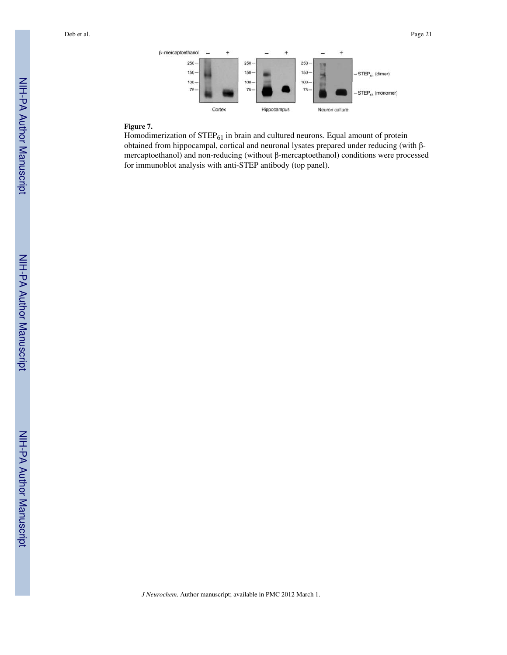

#### **Figure 7.**

Homodimerization of  $\text{STEP}_{61}$  in brain and cultured neurons. Equal amount of protein obtained from hippocampal, cortical and neuronal lysates prepared under reducing (with βmercaptoethanol) and non-reducing (without β-mercaptoethanol) conditions were processed for immunoblot analysis with anti-STEP antibody (top panel).